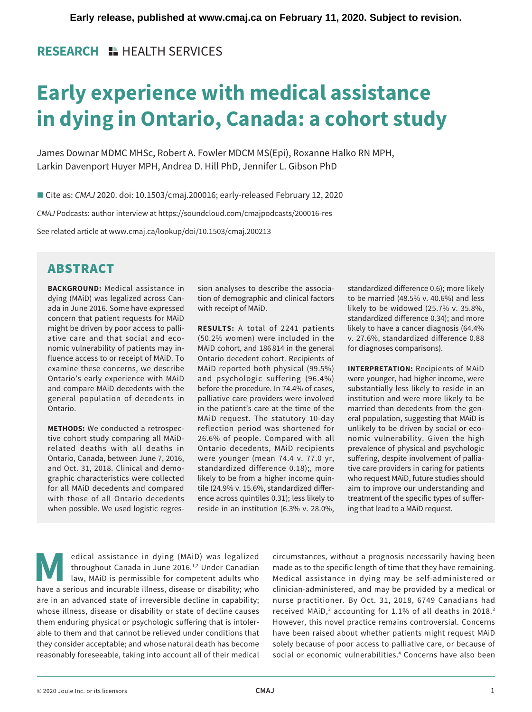## **RESEARCH IN HEALTH SERVICES**

# **Early experience with medical assistance in dying in Ontario, Canada: a cohort study**

James Downar MDMC MHSc, Robert A. Fowler MDCM MS(Epi), Roxanne Halko RN MPH, Larkin Davenport Huyer MPH, Andrea D. Hill PhD, Jennifer L. Gibson PhD

■ Cite as: *CMAJ* 2020. doi: 10.1503/cmaj.200016; early-released February 12, 2020

*CMAJ* Podcasts: author interview at https://soundcloud.com/cmajpodcasts/200016-res

See related article at www.cmaj.ca/lookup/doi/10.1503/cmaj.200213

# ABSTRACT

**BACKGROUND:** Medical assistance in dying (MAiD) was legalized across Canada in June 2016. Some have expressed concern that patient requests for MAiD might be driven by poor access to palliative care and that social and economic vulnerability of patients may influence access to or receipt of MAiD. To examine these concerns, we describe Ontario's early experience with MAiD and compare MAiD decedents with the general population of decedents in Ontario.

**METHODS:** We conducted a retrospective cohort study comparing all MAiDrelated deaths with all deaths in Ontario, Canada, between June 7, 2016, and Oct. 31, 2018. Clinical and demographic characteristics were collected for all MAiD decedents and compared with those of all Ontario decedents when possible. We used logistic regression analyses to describe the association of demographic and clinical factors with receipt of MAiD.

**RESULTS:** A total of 2241 patients (50.2% women) were included in the MAiD cohort, and 186 814 in the general Ontario decedent cohort. Recipients of MAiD reported both physical (99.5%) and psychologic suffering (96.4%) before the procedure. In 74.4% of cases, palliative care providers were involved in the patient's care at the time of the MAiD request. The statutory 10-day reflection period was shortened for 26.6% of people. Compared with all Ontario decedents, MAiD recipients were younger (mean 74.4 v. 77.0 yr, standardized difference 0.18);, more likely to be from a higher income quintile (24.9% v. 15.6%, standardized difference across quintiles 0.31); less likely to reside in an institution (6.3% v. 28.0%, standardized difference 0.6); more likely to be married (48.5% v. 40.6%) and less likely to be widowed (25.7% v. 35.8%, standardized difference 0.34); and more likely to have a cancer diagnosis (64.4% v. 27.6%, standardized difference 0.88 for diagnoses comparisons).

**INTERPRETATION:** Recipients of MAiD were younger, had higher income, were substantially less likely to reside in an institution and were more likely to be married than decedents from the general population, suggesting that MAiD is unlikely to be driven by social or economic vulnerability. Given the high prevalence of physical and psychologic suffering, despite involvement of palliative care providers in caring for patients who request MAiD, future studies should aim to improve our understanding and treatment of the specific types of suffering that lead to a MAiD request.

edical assistance in dying (MAiD) was legalized<br>throughout Canada in June 2016.<sup>1,2</sup> Under Canadian<br>law, MAiD is permissible for competent adults who<br>have a serious and incurable illness disease or disability: who throughout Canada in June 2016.<sup>1,2</sup> Under Canadian law, MAiD is permissible for competent adults who have a serious and incurable illness, disease or disability; who are in an advanced state of irreversible decline in capability; whose illness, disease or disability or state of decline causes them enduring physical or psychologic suffering that is intolerable to them and that cannot be relieved under conditions that they consider acceptable; and whose natural death has become reasonably foreseeable, taking into account all of their medical

circumstances, without a prognosis necessarily having been made as to the specific length of time that they have remaining. Medical assistance in dying may be self-administered or clinician-administered, and may be provided by a medical or nurse practitioner. By Oct. 31, 2018, 6749 Canadians had received MAiD, $3$  accounting for 1.1% of all deaths in 2018. $3$ However, this novel practice remains controversial. Concerns have been raised about whether patients might request MAiD solely because of poor access to palliative care, or because of social or economic vulnerabilities.<sup>4</sup> Concerns have also been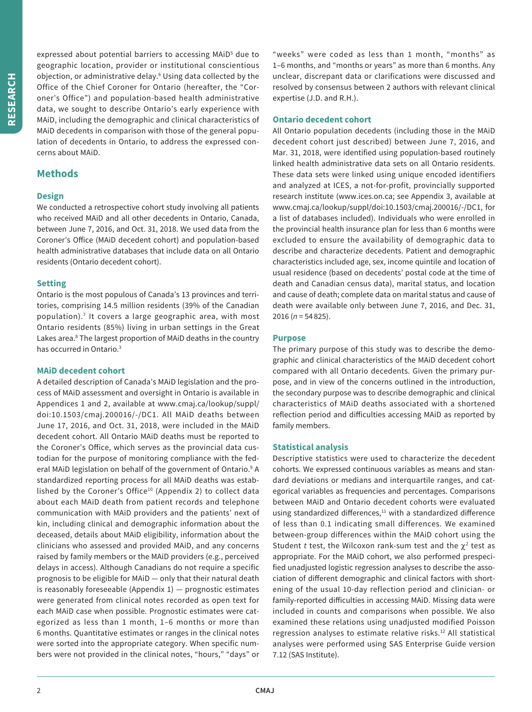expressed about potential barriers to accessing MAiD<sup>5</sup> due to geographic location, provider or institutional conscientious objection, or administrative delay.<sup>6</sup> Using data collected by the Office of the Chief Coroner for Ontario (hereafter, the "Coroner's Office") and population-based health administrative data, we sought to describe Ontario's early experience with MAiD, including the demographic and clinical characteristics of MAiD decedents in comparison with those of the general population of decedents in Ontario, to address the expressed concerns about MAiD.

## **Methods**

## **Design**

We conducted a retrospective cohort study involving all patients who received MAiD and all other decedents in Ontario, Canada, between June 7, 2016, and Oct. 31, 2018. We used data from the Coroner's Office (MAiD decedent cohort) and population-based health administrative databases that include data on all Ontario residents (Ontario decedent cohort).

## **Setting**

Ontario is the most populous of Canada's 13 provinces and territories, comprising 14.5 million residents (39% of the Canadian population).7 It covers a large geographic area, with most Ontario residents (85%) living in urban settings in the Great Lakes area.<sup>8</sup> The largest proportion of MAiD deaths in the country has occurred in Ontario.<sup>3</sup>

## **MAiD decedent cohort**

A detailed description of Canada's MAiD legislation and the process of MAiD assessment and oversight in Ontario is available in Appendices 1 and 2, available at www.cmaj.ca/lookup/suppl/ doi:10.1503/cmaj.200016/-/DC1. All MAiD deaths between June 17, 2016, and Oct. 31, 2018, were included in the MAiD decedent cohort. All Ontario MAiD deaths must be reported to the Coroner's Office, which serves as the provincial data custodian for the purpose of monitoring compliance with the federal MAiD legislation on behalf of the government of Ontario.<sup>9</sup> A standardized reporting process for all MAiD deaths was established by the Coroner's Office<sup>10</sup> (Appendix 2) to collect data about each MAiD death from patient records and telephone communication with MAiD providers and the patients' next of kin, including clinical and demographic information about the deceased, details about MAiD eligibility, information about the clinicians who assessed and provided MAiD, and any concerns raised by family members or the MAiD providers (e.g., perceived delays in access). Although Canadians do not require a specific prognosis to be eligible for MAiD — only that their natural death is reasonably foreseeable (Appendix  $1$ )  $-$  prognostic estimates were generated from clinical notes recorded as open text for each MAiD case when possible. Prognostic estimates were categorized as less than 1 month, 1–6 months or more than 6 months. Quantitative estimates or ranges in the clinical notes were sorted into the appropriate category. When specific numbers were not provided in the clinical notes, "hours," "days" or

"weeks" were coded as less than 1 month, "months" as 1–6 months, and "months or years" as more than 6 months. Any unclear, discrepant data or clarifications were discussed and resolved by consensus between 2 authors with relevant clinical expertise (J.D. and R.H.).

## **Ontario decedent cohort**

All Ontario population decedents (including those in the MAiD decedent cohort just described) between June 7, 2016, and Mar. 31, 2018, were identified using population-based routinely linked health administrative data sets on all Ontario residents. These data sets were linked using unique encoded identifiers and analyzed at ICES, a not-for-profit, provincially supported research institute (www.ices.on.ca; see Appendix 3, available at www.cmaj.ca/lookup/suppl/doi:10.1503/cmaj.200016/-/DC1, for a list of databases included). Individuals who were enrolled in the provincial health insurance plan for less than 6 months were excluded to ensure the availability of demographic data to describe and characterize decedents. Patient and demographic characteristics included age, sex, income quintile and location of usual residence (based on decedents' postal code at the time of death and Canadian census data), marital status, and location and cause of death; complete data on marital status and cause of death were available only between June 7, 2016, and Dec. 31, 2016 (*n* = 54 825).

## **Purpose**

The primary purpose of this study was to describe the demographic and clinical characteristics of the MAiD decedent cohort compared with all Ontario decedents. Given the primary purpose, and in view of the concerns outlined in the introduction, the secondary purpose was to describe demographic and clinical characteristics of MAiD deaths associated with a shortened reflection period and difficulties accessing MAiD as reported by family members.

## **Statistical analysis**

Descriptive statistics were used to characterize the decedent cohorts. We expressed continuous variables as means and standard deviations or medians and interquartile ranges, and categorical variables as frequencies and percentages. Comparisons between MAiD and Ontario decedent cohorts were evaluated using standardized differences, $^{11}$  with a standardized difference of less than 0.1 indicating small differences. We examined between-group differences within the MAiD cohort using the Student *t* test, the Wilcoxon rank-sum test and the  $\chi^2$  test as appropriate. For the MAiD cohort, we also performed prespecified unadjusted logistic regression analyses to describe the association of different demographic and clinical factors with shortening of the usual 10-day reflection period and clinician- or family-reported difficulties in accessing MAiD. Missing data were included in counts and comparisons when possible. We also examined these relations using unadjusted modified Poisson regression analyses to estimate relative risks.<sup>12</sup> All statistical analyses were performed using SAS Enterprise Guide version 7.12 (SAS Institute).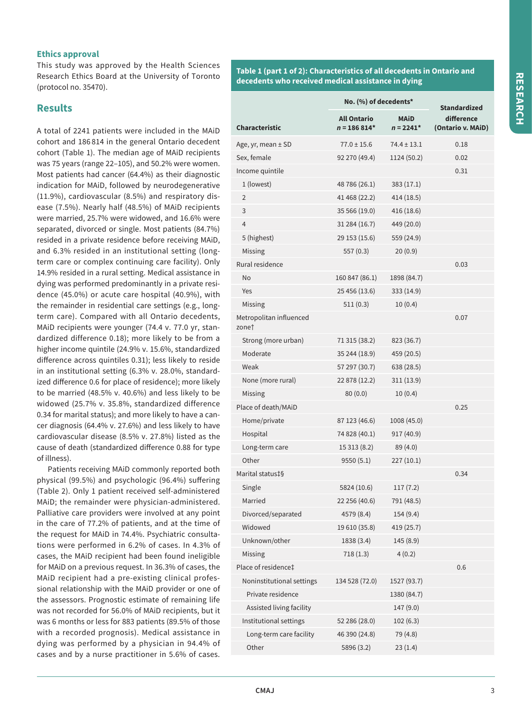## **Ethics approval**

This study was approved by the Health Sciences Research Ethics Board at the University of Toronto (protocol no. 35470).

## **Results**

A total of 2241 patients were included in the MAiD cohort and 186 814 in the general Ontario decedent cohort (Table 1). The median age of MAiD recipients was 75 years (range 22–105), and 50.2% were women. Most patients had cancer (64.4%) as their diagnostic indication for MAiD, followed by neurodegenerative (11.9%), cardiovascular (8.5%) and respiratory disease (7.5%). Nearly half (48.5%) of MAiD recipients were married, 25.7% were widowed, and 16.6% were separated, divorced or single. Most patients (84.7%) resided in a private residence before receiving MAiD, and 6.3% resided in an institutional setting (longterm care or complex continuing care facility). Only 14.9% resided in a rural setting. Medical assistance in dying was performed predominantly in a private residence (45.0%) or acute care hospital (40.9%), with the remainder in residential care settings (e.g., longterm care). Compared with all Ontario decedents, MAiD recipients were younger (74.4 v. 77.0 yr, standardized difference 0.18); more likely to be from a higher income quintile (24.9% v. 15.6%, standardized difference across quintiles 0.31); less likely to reside in an institutional setting (6.3% v. 28.0%, standardized difference 0.6 for place of residence); more likely to be married (48.5% v. 40.6%) and less likely to be widowed (25.7% v. 35.8%, standardized difference 0.34 for marital status); and more likely to have a cancer diagnosis (64.4% v. 27.6%) and less likely to have cardiovascular disease (8.5% v. 27.8%) listed as the cause of death (standardized difference 0.88 for type of illness).

Patients receiving MAiD commonly reported both physical (99.5%) and psychologic (96.4%) suffering (Table 2). Only 1 patient received self-administered MAiD; the remainder were physician-administered. Palliative care providers were involved at any point in the care of 77.2% of patients, and at the time of the request for MAiD in 74.4%. Psychiatric consultations were performed in 6.2% of cases. In 4.3% of cases, the MAiD recipient had been found ineligible for MAiD on a previous request. In 36.3% of cases, the MAiD recipient had a pre-existing clinical professional relationship with the MAiD provider or one of the assessors. Prognostic estimate of remaining life was not recorded for 56.0% of MAiD recipients, but it was 6 months or less for 883 patients (89.5% of those with a recorded prognosis). Medical assistance in dying was performed by a physician in 94.4% of cases and by a nurse practitioner in 5.6% of cases.

**Table 1 (part 1 of 2): Characteristics of all decedents in Ontario and decedents who received medical assistance in dying**

|                                  | No. (%) of decedents*               | <b>Standardized</b>        |                                 |
|----------------------------------|-------------------------------------|----------------------------|---------------------------------|
| <b>Characteristic</b>            | <b>All Ontario</b><br>$n = 186814*$ | <b>MAID</b><br>$n = 2241*$ | difference<br>(Ontario v. MAiD) |
| Age, yr, mean $\pm$ SD           | $77.0 \pm 15.6$                     | $74.4 \pm 13.1$            | 0.18                            |
| Sex, female                      | 92 270 (49.4)                       | 1124 (50.2)                | 0.02                            |
| Income quintile                  |                                     |                            | 0.31                            |
| 1 (lowest)                       | 48 786 (26.1)                       | 383(17.1)                  |                                 |
| 2                                | 41 468 (22.2)                       | 414 (18.5)                 |                                 |
| 3                                | 35 566 (19.0)                       | 416 (18.6)                 |                                 |
| 4                                | 31 284 (16.7)                       | 449 (20.0)                 |                                 |
| 5 (highest)                      | 29 153 (15.6)                       | 559 (24.9)                 |                                 |
| Missing                          | 557(0.3)                            | 20(0.9)                    |                                 |
| Rural residence                  |                                     |                            | 0.03                            |
| No                               | 160 847 (86.1)                      | 1898 (84.7)                |                                 |
| Yes                              | 25 456 (13.6)                       | 333 (14.9)                 |                                 |
| Missing                          | 511(0.3)                            | 10(0.4)                    |                                 |
| Metropolitan influenced<br>zonet |                                     |                            | 0.07                            |
| Strong (more urban)              | 71 315 (38.2)                       | 823 (36.7)                 |                                 |
| Moderate                         | 35 244 (18.9)                       | 459 (20.5)                 |                                 |
| Weak                             | 57 297 (30.7)                       | 638 (28.5)                 |                                 |
| None (more rural)                | 22 878 (12.2)                       | 311 (13.9)                 |                                 |
| Missing                          | 80(0.0)                             | 10(0.4)                    |                                 |
| Place of death/MAiD              |                                     |                            | 0.25                            |
| Home/private                     | 87 123 (46.6)                       | 1008 (45.0)                |                                 |
| Hospital                         | 74 828 (40.1)                       | 917 (40.9)                 |                                 |
| Long-term care                   | 15 313 (8.2)                        | 89 (4.0)                   |                                 |
| Other                            | 9550 (5.1)                          | 227(10.1)                  |                                 |
| Marital status‡§                 |                                     |                            | 0.34                            |
| Single                           | 5824 (10.6)                         | 117(7.2)                   |                                 |
| Married                          | 22 256 (40.6)                       | 791 (48.5)                 |                                 |
| Divorced/separated               | 4579 (8.4)                          | 154 (9.4)                  |                                 |
| Widowed                          | 19 610 (35.8)                       | 419 (25.7)                 |                                 |
| Unknown/other                    | 1838 (3.4)                          | 145(8.9)                   |                                 |
| Missing                          | 718(1.3)                            | 4(0.2)                     |                                 |
| Place of residence‡              |                                     |                            | 0.6                             |
| Noninstitutional settings        | 134 528 (72.0)                      | 1527 (93.7)                |                                 |
| Private residence                |                                     | 1380 (84.7)                |                                 |
| Assisted living facility         |                                     | 147 (9.0)                  |                                 |
| Institutional settings           | 52 286 (28.0)                       | 102(6.3)                   |                                 |
| Long-term care facility          | 46 390 (24.8)                       | 79 (4.8)                   |                                 |
| Other                            | 5896 (3.2)                          | 23(1.4)                    |                                 |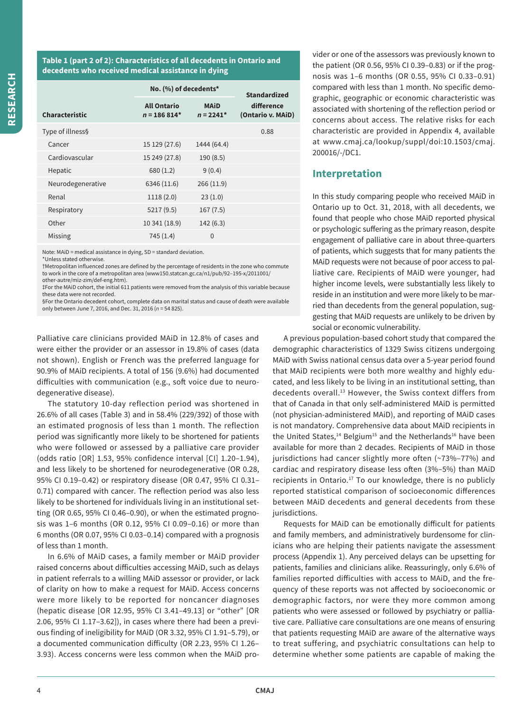## **Table 1 (part 2 of 2): Characteristics of all decedents in Ontario and decedents who received medical assistance in dying**

|                       | No. (%) of decedents*               | <b>Standardized</b>        |                                 |  |
|-----------------------|-------------------------------------|----------------------------|---------------------------------|--|
| <b>Characteristic</b> | <b>All Ontario</b><br>$n = 186814*$ | <b>MAiD</b><br>$n = 2241*$ | difference<br>(Ontario v. MAiD) |  |
| Type of illness§      |                                     |                            | 0.88                            |  |
| Cancer                | 15 129 (27.6)                       | 1444 (64.4)                |                                 |  |
| Cardiovascular        | 15 249 (27.8)                       | 190(8.5)                   |                                 |  |
| Hepatic               | 680 (1.2)                           | 9(0.4)                     |                                 |  |
| Neurodegenerative     | 6346 (11.6)                         | 266(11.9)                  |                                 |  |
| Renal                 | 1118(2.0)                           | 23(1.0)                    |                                 |  |
| Respiratory           | 5217 (9.5)                          | 167(7.5)                   |                                 |  |
| Other                 | 10 341 (18.9)                       | 142(6.3)                   |                                 |  |
| Missing               | 745(1.4)                            | $\Omega$                   |                                 |  |

Note: MAiD = medical assistance in dying, SD = standard deviation.

\*Unless stated otherwise.

†Metropolitan influenced zones are defined by the percentage of residents in the zone who commute to work in the core of a metropolitan area (www150.statcan.gc.ca/n1/pub/92–195-x/2011001/ other-autre/miz-zim/def-eng.htm).

‡For the MAiD cohort, the initial 611 patients were removed from the analysis of this variable because these data were not recorded.

§For the Ontario decedent cohort, complete data on marital status and cause of death were available only between June 7, 2016, and Dec. 31, 2016 (*n* = 54 825).

Palliative care clinicians provided MAiD in 12.8% of cases and were either the provider or an assessor in 19.8% of cases (data not shown). English or French was the preferred language for 90.9% of MAiD recipients. A total of 156 (9.6%) had documented difficulties with communication (e.g., soft voice due to neurodegenerative disease).

The statutory 10-day reflection period was shortened in 26.6% of all cases (Table 3) and in 58.4% (229/392) of those with an estimated prognosis of less than 1 month. The reflection period was significantly more likely to be shortened for patients who were followed or assessed by a palliative care provider (odds ratio [OR] 1.53, 95% confidence interval [CI] 1.20–1.94), and less likely to be shortened for neurodegenerative (OR 0.28, 95% CI 0.19–0.42) or respiratory disease (OR 0.47, 95% CI 0.31– 0.71) compared with cancer. The reflection period was also less likely to be shortened for individuals living in an institutional setting (OR 0.65, 95% CI 0.46–0.90), or when the estimated prognosis was 1–6 months (OR 0.12, 95% CI 0.09–0.16) or more than 6 months (OR 0.07, 95% CI 0.03–0.14) compared with a prognosis of less than 1 month.

In 6.6% of MAiD cases, a family member or MAiD provider raised concerns about difficulties accessing MAiD, such as delays in patient referrals to a willing MAiD assessor or provider, or lack of clarity on how to make a request for MAiD. Access concerns were more likely to be reported for noncancer diagnoses (hepatic disease [OR 12.95, 95% CI 3.41–49.13] or "other" [OR 2.06, 95% CI 1.17–3.62]), in cases where there had been a previous finding of ineligibility for MAiD (OR 3.32, 95% CI 1.91–5.79), or a documented communication difficulty (OR 2.23, 95% CI 1.26– 3.93). Access concerns were less common when the MAiD provider or one of the assessors was previously known to the patient (OR 0.56, 95% CI 0.39–0.83) or if the prognosis was 1–6 months (OR 0.55, 95% CI 0.33–0.91) compared with less than 1 month. No specific demographic, geographic or economic characteristic was associated with shortening of the reflection period or concerns about access. The relative risks for each characteristic are provided in Appendix 4, available at www.cmaj.ca/lookup/suppl/doi:10.1503/cmaj. 200016/-/DC1.

## **Interpretation**

In this study comparing people who received MAiD in Ontario up to Oct. 31, 2018, with all decedents, we found that people who chose MAiD reported physical or psychologic suffering as the primary reason, despite engagement of palliative care in about three-quarters of patients, which suggests that for many patients the MAiD requests were not because of poor access to palliative care. Recipients of MAiD were younger, had higher income levels, were substantially less likely to reside in an institution and were more likely to be married than decedents from the general population, suggesting that MAiD requests are unlikely to be driven by social or economic vulnerability.

A previous population-based cohort study that compared the demographic characteristics of 1329 Swiss citizens undergoing MAiD with Swiss national census data over a 5-year period found that MAiD recipients were both more wealthy and highly educated, and less likely to be living in an institutional setting, than decedents overall.<sup>13</sup> However, the Swiss context differs from that of Canada in that only self-administered MAiD is permitted (not physician-administered MAiD), and reporting of MAiD cases is not mandatory. Comprehensive data about MAiD recipients in the United States, $14$  Belgium<sup>15</sup> and the Netherlands<sup>16</sup> have been available for more than 2 decades. Recipients of MAiD in those jurisdictions had cancer slightly more often (~73%–77%) and cardiac and respiratory disease less often (3%–5%) than MAiD recipients in Ontario. $17$  To our knowledge, there is no publicly reported statistical comparison of socioeconomic differences between MAiD decedents and general decedents from these jurisdictions.

Requests for MAiD can be emotionally difficult for patients and family members, and administratively burdensome for clinicians who are helping their patients navigate the assessment process (Appendix 1). Any perceived delays can be upsetting for patients, families and clinicians alike. Reassuringly, only 6.6% of families reported difficulties with access to MAiD, and the frequency of these reports was not affected by socioeconomic or demographic factors, nor were they more common among patients who were assessed or followed by psychiatry or palliative care. Palliative care consultations are one means of ensuring that patients requesting MAiD are aware of the alternative ways to treat suffering, and psychiatric consultations can help to determine whether some patients are capable of making the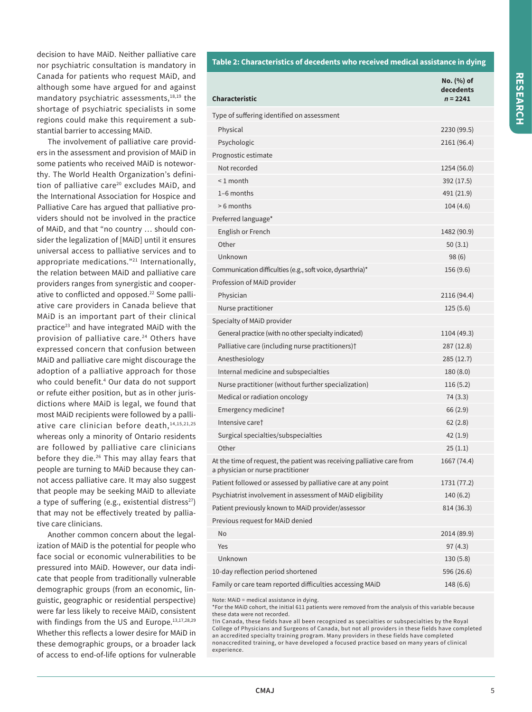decision to have MAiD. Neither palliative care nor psychiatric consultation is mandatory in Canada for patients who request MAiD, and although some have argued for and against mandatory psychiatric assessments,<sup>18,19</sup> the shortage of psychiatric specialists in some regions could make this requirement a substantial barrier to accessing MAiD.

The involvement of palliative care providers in the assessment and provision of MAiD in some patients who received MAiD is noteworthy. The World Health Organization's definition of palliative care<sup>20</sup> excludes MAiD, and the International Association for Hospice and Palliative Care has argued that palliative providers should not be involved in the practice of MAiD, and that "no country … should consider the legalization of [MAiD] until it ensures universal access to palliative services and to appropriate medications."21 Internationally, the relation between MAiD and palliative care providers ranges from synergistic and cooperative to conflicted and opposed.<sup>22</sup> Some palliative care providers in Canada believe that MAiD is an important part of their clinical practice23 and have integrated MAiD with the provision of palliative care.<sup>24</sup> Others have expressed concern that confusion between MAiD and palliative care might discourage the adoption of a palliative approach for those who could benefit.4 Our data do not support or refute either position, but as in other jurisdictions where MAiD is legal, we found that most MAiD recipients were followed by a palliative care clinician before death,  $14,15,21,25$ whereas only a minority of Ontario residents are followed by palliative care clinicians before they die.26 This may allay fears that people are turning to MAiD because they cannot access palliative care. It may also suggest that people may be seeking MAiD to alleviate a type of suffering (e.g., existential distress $^{27}$ ) that may not be effectively treated by palliative care clinicians.

Another common concern about the legalization of MAiD is the potential for people who face social or economic vulnerabilities to be pressured into MAiD. However, our data indicate that people from traditionally vulnerable demographic groups (from an economic, linguistic, geographic or residential perspective) were far less likely to receive MAiD, consistent with findings from the US and Europe.<sup>13,17,28,29</sup> Whether this reflects a lower desire for MAiD in these demographic groups, or a broader lack of access to end-of-life options for vulnerable

#### **Table 2: Characteristics of decedents who received medical assistance in dying**

| <b>Characteristic</b>                                                                                       | No. (%) of<br>decedents<br>$n = 2241$ |
|-------------------------------------------------------------------------------------------------------------|---------------------------------------|
| Type of suffering identified on assessment                                                                  |                                       |
| Physical                                                                                                    | 2230 (99.5)                           |
| Psychologic                                                                                                 | 2161 (96.4)                           |
| Prognostic estimate                                                                                         |                                       |
| Not recorded                                                                                                | 1254 (56.0)                           |
| $< 1$ month                                                                                                 | 392 (17.5)                            |
| $1-6$ months                                                                                                | 491 (21.9)                            |
| > 6 months                                                                                                  | 104(4.6)                              |
| Preferred language*                                                                                         |                                       |
| English or French                                                                                           | 1482 (90.9)                           |
| Other                                                                                                       | 50(3.1)                               |
| Unknown                                                                                                     | 98(6)                                 |
| Communication difficulties (e.g., soft voice, dysarthria)*                                                  | 156 (9.6)                             |
| Profession of MAID provider                                                                                 |                                       |
| Physician                                                                                                   | 2116 (94.4)                           |
| Nurse practitioner                                                                                          | 125(5.6)                              |
| Specialty of MAiD provider                                                                                  |                                       |
| General practice (with no other specialty indicated)                                                        | 1104 (49.3)                           |
| Palliative care (including nurse practitioners) <sup>†</sup>                                                | 287 (12.8)                            |
| Anesthesiology                                                                                              | 285 (12.7)                            |
| Internal medicine and subspecialties                                                                        | 180 (8.0)                             |
| Nurse practitioner (without further specialization)                                                         | 116(5.2)                              |
| Medical or radiation oncology                                                                               | 74(3.3)                               |
| Emergency medicine†                                                                                         | 66 (2.9)                              |
| Intensive care <sup>t</sup>                                                                                 | 62(2.8)                               |
| Surgical specialties/subspecialties                                                                         | 42(1.9)                               |
| Other                                                                                                       | 25(1.1)                               |
| At the time of request, the patient was receiving palliative care from<br>a physician or nurse practitioner | 1667 (74.4)                           |
| Patient followed or assessed by palliative care at any point                                                | 1731 (77.2)                           |
| Psychiatrist involvement in assessment of MAiD eligibility                                                  | 140(6.2)                              |
| Patient previously known to MAiD provider/assessor                                                          | 814 (36.3)                            |
| Previous request for MAiD denied                                                                            |                                       |
| No                                                                                                          | 2014 (89.9)                           |
| Yes                                                                                                         | 97(4.3)                               |
| Unknown                                                                                                     | 130(5.8)                              |
| 10-day reflection period shortened                                                                          | 596 (26.6)                            |
| Family or care team reported difficulties accessing MAiD                                                    | 148 (6.6)                             |

Note: MAiD = medical assistance in dying.

\*For the MAiD cohort, the initial 611 patients were removed from the analysis of this variable because these data were not recorded.

†In Canada, these fields have all been recognized as specialties or subspecialties by the Royal College of Physicians and Surgeons of Canada, but not all providers in these fields have completed an accredited specialty training program. Many providers in these fields have completed nonaccredited training, or have developed a focused practice based on many years of clinical experience.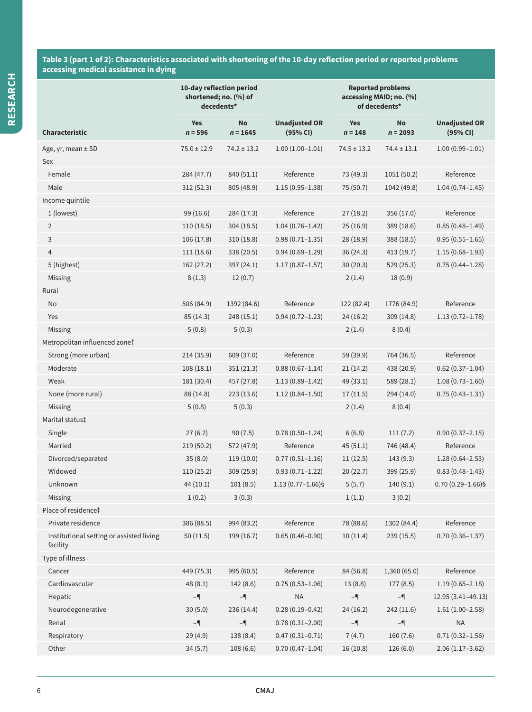### **Table 3 (part 1 of 2): Characteristics associated with shortening of the 10-day reflection period or reported problems accessing medical assistance in dying**

|                                                      | 10-day reflection period<br>shortened; no. (%) of<br>decedents* |                         |                                  | <b>Reported problems</b><br>accessing MAID; no. (%)<br>of decedents* |                  |                                  |
|------------------------------------------------------|-----------------------------------------------------------------|-------------------------|----------------------------------|----------------------------------------------------------------------|------------------|----------------------------------|
| <b>Characteristic</b>                                | <b>Yes</b><br>$n = 596$                                         | <b>No</b><br>$n = 1645$ | <b>Unadjusted OR</b><br>(95% CI) | <b>Yes</b><br>$n = 148$                                              | No<br>$n = 2093$ | <b>Unadjusted OR</b><br>(95% CI) |
| Age, yr, mean ± SD                                   | $75.0 \pm 12.9$                                                 | $74.2 \pm 13.2$         | $1.00(1.00-1.01)$                | $74.5 \pm 13.2$                                                      | $74.4 \pm 13.1$  | $1.00(0.99 - 1.01)$              |
| Sex                                                  |                                                                 |                         |                                  |                                                                      |                  |                                  |
| Female                                               | 284 (47.7)                                                      | 840 (51.1)              | Reference                        | 73 (49.3)                                                            | 1051(50.2)       | Reference                        |
| Male                                                 | 312(52.3)                                                       | 805 (48.9)              | $1.15(0.95 - 1.38)$              | 75 (50.7)                                                            | 1042 (49.8)      | $1.04(0.74 - 1.45)$              |
| Income quintile                                      |                                                                 |                         |                                  |                                                                      |                  |                                  |
| 1 (lowest)                                           | 99 (16.6)                                                       | 284 (17.3)              | Reference                        | 27(18.2)                                                             | 356(17.0)        | Reference                        |
| $\overline{2}$                                       | 110(18.5)                                                       | 304 (18.5)              | $1.04(0.76 - 1.42)$              | 25(16.9)                                                             | 389 (18.6)       | $0.85(0.48 - 1.49)$              |
| 3                                                    | 106(17.8)                                                       | 310(18.8)               | $0.98(0.71 - 1.35)$              | 28 (18.9)                                                            | 388 (18.5)       | $0.95(0.55 - 1.65)$              |
| $\overline{4}$                                       | 111(18.6)                                                       | 338 (20.5)              | $0.94(0.69 - 1.29)$              | 36(24.3)                                                             | 413(19.7)        | $1.15(0.68 - 1.93)$              |
| 5 (highest)                                          | 162 (27.2)                                                      | 397 (24.1)              | $1.17(0.87 - 1.57)$              | 30 (20.3)                                                            | 529 (25.3)       | $0.75(0.44 - 1.28)$              |
| Missing                                              | 8(1.3)                                                          | 12(0.7)                 |                                  | 2(1.4)                                                               | 18(0.9)          |                                  |
| Rural                                                |                                                                 |                         |                                  |                                                                      |                  |                                  |
| No                                                   | 506 (84.9)                                                      | 1392 (84.6)             | Reference                        | 122 (82.4)                                                           | 1776 (84.9)      | Reference                        |
| Yes                                                  | 85(14.3)                                                        | 248(15.1)               | $0.94(0.72 - 1.23)$              | 24(16.2)                                                             | 309(14.8)        | $1.13(0.72 - 1.78)$              |
| Missing                                              | 5(0.8)                                                          | 5(0.3)                  |                                  | 2(1.4)                                                               | 8(0.4)           |                                  |
| Metropolitan influenced zonet                        |                                                                 |                         |                                  |                                                                      |                  |                                  |
| Strong (more urban)                                  | 214(35.9)                                                       | 609 (37.0)              | Reference                        | 59 (39.9)                                                            | 764 (36.5)       | Reference                        |
| Moderate                                             | 108(18.1)                                                       | 351 (21.3)              | $0.88(0.67 - 1.14)$              | 21(14.2)                                                             | 438 (20.9)       | $0.62(0.37 - 1.04)$              |
| Weak                                                 | 181 (30.4)                                                      | 457 (27.8)              | $1.13(0.89 - 1.42)$              | 49 (33.1)                                                            | 589 (28.1)       | $1.08(0.73 - 1.60)$              |
| None (more rural)                                    | 88 (14.8)                                                       | 223 (13.6)              | $1.12(0.84 - 1.50)$              | 17(11.5)                                                             | 294 (14.0)       | $0.75(0.43 - 1.31)$              |
| Missing                                              | 5(0.8)                                                          | 5(0.3)                  |                                  | 2(1.4)                                                               | 8(0.4)           |                                  |
| Marital status‡                                      |                                                                 |                         |                                  |                                                                      |                  |                                  |
| Single                                               | 27(6.2)                                                         | 90(7.5)                 | $0.78(0.50 - 1.24)$              | 6(6.8)                                                               | 111(7.2)         | $0.90(0.37 - 2.15)$              |
| Married                                              | 219(50.2)                                                       | 572 (47.9)              | Reference                        | 45(51.1)                                                             | 746 (48.4)       | Reference                        |
| Divorced/separated                                   | 35(8.0)                                                         | 119(10.0)               | $0.77(0.51 - 1.16)$              | 11(12.5)                                                             | 143(9.3)         | $1.28(0.64 - 2.53)$              |
| Widowed                                              | 110 (25.2)                                                      | 309 (25.9)              | $0.93(0.71 - 1.22)$              | 20(22.7)                                                             | 399 (25.9)       | $0.83(0.48 - 1.43)$              |
| Unknown                                              | 44 (10.1)                                                       | 101(8.5)                | $1.13(0.77 - 1.66)$ §            | 5(5.7)                                                               | 140(9.1)         | $0.70(0.29 - 1.66)$ §            |
| Missing                                              | 1(0.2)                                                          | 3(0.3)                  |                                  | 1(1.1)                                                               | 3(0.2)           |                                  |
| Place of residence‡                                  |                                                                 |                         |                                  |                                                                      |                  |                                  |
| Private residence                                    | 386 (88.5)                                                      | 994 (83.2)              | Reference                        | 78 (88.6)                                                            | 1302 (84.4)      | Reference                        |
| Institutional setting or assisted living<br>facility | 50(11.5)                                                        | 199 (16.7)              | $0.65(0.46 - 0.90)$              | 10(11.4)                                                             | 239(15.5)        | $0.70(0.36 - 1.37)$              |
| Type of illness                                      |                                                                 |                         |                                  |                                                                      |                  |                                  |
| Cancer                                               | 449 (75.3)                                                      | 995 (60.5)              | Reference                        | 84 (56.8)                                                            | 1,360 (65.0)     | Reference                        |
| Cardiovascular                                       | 48(8.1)                                                         | 142(8.6)                | $0.75(0.53 - 1.06)$              | 13(8.8)                                                              | 177(8.5)         | $1.19(0.65 - 2.18)$              |
| Hepatic                                              | $-$                                                             | $-\P$                   | <b>NA</b>                        | $-\P$                                                                | $-$              | 12.95 (3.41-49.13)               |
| Neurodegenerative                                    | 30(5.0)                                                         | 236 (14.4)              | $0.28(0.19 - 0.42)$              | 24(16.2)                                                             | 242(11.6)        | $1.61(1.00-2.58)$                |
| Renal                                                | $-$                                                             | $-$                     | $0.78(0.31 - 2.00)$              | $-$                                                                  | $-$              | <b>NA</b>                        |
| Respiratory                                          | 29 (4.9)                                                        | 138 (8.4)               | $0.47(0.31 - 0.71)$              | 7(4.7)                                                               | 160 (7.6)        | $0.71(0.32 - 1.56)$              |
| Other                                                | 34(5.7)                                                         | 108(6.6)                | $0.70(0.47 - 1.04)$              | 16(10.8)                                                             | 126(6.0)         | $2.06(1.17-3.62)$                |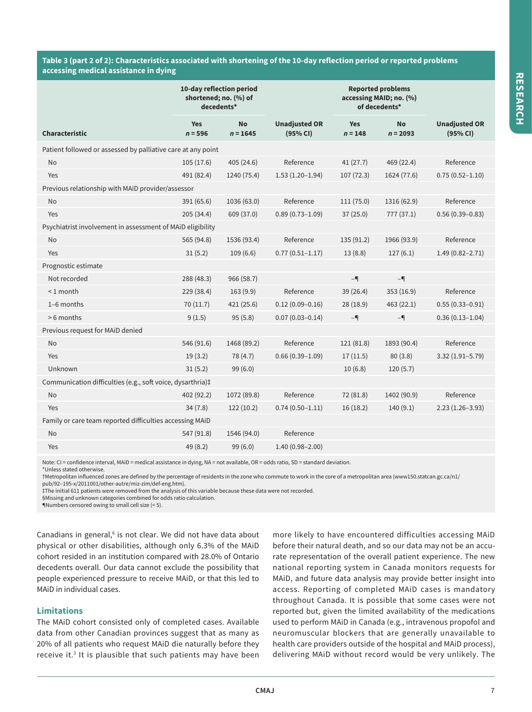## **Table 3 (part 2 of 2): Characteristics associated with shortening of the 10-day reflection period or reported problems accessing medical assistance in dying**

|                                                              | 10-day reflection period<br>shortened; no. (%) of<br>decedents* |                         |                                  | <b>Reported problems</b><br>accessing MAID; no. (%)<br>of decedents* |                         |                                  |  |
|--------------------------------------------------------------|-----------------------------------------------------------------|-------------------------|----------------------------------|----------------------------------------------------------------------|-------------------------|----------------------------------|--|
| <b>Characteristic</b>                                        | <b>Yes</b><br>$n = 596$                                         | <b>No</b><br>$n = 1645$ | <b>Unadjusted OR</b><br>(95% CI) | <b>Yes</b><br>$n = 148$                                              | <b>No</b><br>$n = 2093$ | <b>Unadjusted OR</b><br>(95% CI) |  |
| Patient followed or assessed by palliative care at any point |                                                                 |                         |                                  |                                                                      |                         |                                  |  |
| No                                                           | 105(17.6)                                                       | 405 (24.6)              | Reference                        | 41(27.7)                                                             | 469 (22.4)              | Reference                        |  |
| Yes                                                          | 491 (82.4)                                                      | 1240 (75.4)             | $1.53(1.20-1.94)$                | 107(72.3)                                                            | 1624 (77.6)             | $0.75(0.52 - 1.10)$              |  |
| Previous relationship with MAiD provider/assessor            |                                                                 |                         |                                  |                                                                      |                         |                                  |  |
| No                                                           | 391 (65.6)                                                      | 1036 (63.0)             | Reference                        | 111 (75.0)                                                           | 1316 (62.9)             | Reference                        |  |
| Yes                                                          | 205(34.4)                                                       | 609 (37.0)              | $0.89(0.73 - 1.09)$              | 37(25.0)                                                             | 777 (37.1)              | $0.56(0.39 - 0.83)$              |  |
| Psychiatrist involvement in assessment of MAiD eligibility   |                                                                 |                         |                                  |                                                                      |                         |                                  |  |
| No                                                           | 565 (94.8)                                                      | 1536 (93.4)             | Reference                        | 135 (91.2)                                                           | 1966 (93.9)             | Reference                        |  |
| Yes                                                          | 31(5.2)                                                         | 109(6.6)                | $0.77(0.51 - 1.17)$              | 13(8.8)                                                              | 127(6.1)                | $1.49(0.82 - 2.71)$              |  |
| Prognostic estimate                                          |                                                                 |                         |                                  |                                                                      |                         |                                  |  |
| Not recorded                                                 | 288 (48.3)                                                      | 966 (58.7)              |                                  | $-$                                                                  | $-$                     |                                  |  |
| $< 1$ month                                                  | 229 (38.4)                                                      | 163(9.9)                | Reference                        | 39(26.4)                                                             | 353 (16.9)              | Reference                        |  |
| 1-6 months                                                   | 70(11.7)                                                        | 421 (25.6)              | $0.12(0.09 - 0.16)$              | 28(18.9)                                                             | 463 (22.1)              | $0.55(0.33 - 0.91)$              |  |
| > 6 months                                                   | 9(1.5)                                                          | 95(5.8)                 | $0.07(0.03 - 0.14)$              | $-$                                                                  | $-$                     | $0.36(0.13 - 1.04)$              |  |
| Previous request for MAiD denied                             |                                                                 |                         |                                  |                                                                      |                         |                                  |  |
| <b>No</b>                                                    | 546 (91.6)                                                      | 1468 (89.2)             | Reference                        | 121 (81.8)                                                           | 1893 (90.4)             | Reference                        |  |
| Yes                                                          | 19(3.2)                                                         | 78 (4.7)                | $0.66(0.39-1.09)$                | 17(11.5)                                                             | 80(3.8)                 | $3.32(1.91 - 5.79)$              |  |
| Unknown                                                      | 31(5.2)                                                         | 99 (6.0)                |                                  | 10(6.8)                                                              | 120(5.7)                |                                  |  |
| Communication difficulties (e.g., soft voice, dysarthria)‡   |                                                                 |                         |                                  |                                                                      |                         |                                  |  |
| No                                                           | 402 (92.2)                                                      | 1072 (89.8)             | Reference                        | 72 (81.8)                                                            | 1402 (90.9)             | Reference                        |  |
| Yes                                                          | 34(7.8)                                                         | 122(10.2)               | $0.74(0.50 - 1.11)$              | 16(18.2)                                                             | 140(9.1)                | $2.23(1.26-3.93)$                |  |
| Family or care team reported difficulties accessing MAiD     |                                                                 |                         |                                  |                                                                      |                         |                                  |  |
| No                                                           | 547 (91.8)                                                      | 1546 (94.0)             | Reference                        |                                                                      |                         |                                  |  |
| Yes                                                          | 49 (8.2)                                                        | 99 (6.0)                | $1.40(0.98 - 2.00)$              |                                                                      |                         |                                  |  |

Note: CI = confidence interval, MAiD = medical assistance in dying, NA = not available, OR = odds ratio, SD = standard deviation.

\*Unless stated otherwise.

†Metropolitan influenced zones are defined by the percentage of residents in the zone who commute to work in the core of a metropolitan area (www150.statcan.gc.ca/n1/ pub/92–195-x/2011001/other-autre/miz-zim/def-eng.htm).

‡The initial 611 patients were removed from the analysis of this variable because these data were not recorded.

§Missing and unknown categories combined for odds ratio calculation.

¶Numbers censored owing to small cell size (< 5).

Canadians in general,<sup>6</sup> is not clear. We did not have data about physical or other disabilities, although only 6.3% of the MAiD cohort resided in an institution compared with 28.0% of Ontario decedents overall. Our data cannot exclude the possibility that people experienced pressure to receive MAiD, or that this led to MAiD in individual cases.

### **Limitations**

The MAiD cohort consisted only of completed cases. Available data from other Canadian provinces suggest that as many as 20% of all patients who request MAiD die naturally before they receive it.<sup>3</sup> It is plausible that such patients may have been more likely to have encountered difficulties accessing MAiD before their natural death, and so our data may not be an accurate representation of the overall patient experience. The new national reporting system in Canada monitors requests for MAiD, and future data analysis may provide better insight into access. Reporting of completed MAiD cases is mandatory throughout Canada. It is possible that some cases were not reported but, given the limited availability of the medications used to perform MAiD in Canada (e.g., intravenous propofol and neuromuscular blockers that are generally unavailable to health care providers outside of the hospital and MAiD process), delivering MAiD without record would be very unlikely. The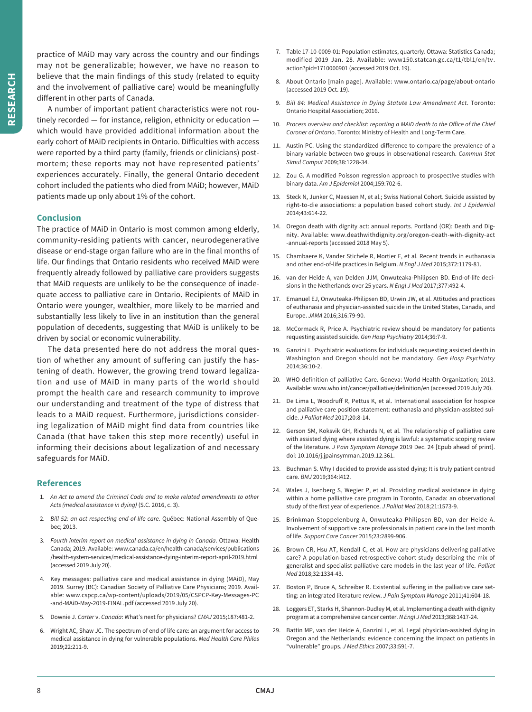practice of MAiD may vary across the country and our findings may not be generalizable; however, we have no reason to believe that the main findings of this study (related to equity and the involvement of palliative care) would be meaningfully different in other parts of Canada.

A number of important patient characteristics were not routinely recorded — for instance, religion, ethnicity or education which would have provided additional information about the early cohort of MAiD recipients in Ontario. Difficulties with access were reported by a third party (family, friends or clinicians) postmortem; these reports may not have represented patients' experiences accurately. Finally, the general Ontario decedent cohort included the patients who died from MAiD; however, MAiD patients made up only about 1% of the cohort.

## **Conclusion**

The practice of MAiD in Ontario is most common among elderly, community-residing patients with cancer, neurodegenerative disease or end-stage organ failure who are in the final months of life. Our findings that Ontario residents who received MAiD were frequently already followed by palliative care providers suggests that MAiD requests are unlikely to be the consequence of inadequate access to palliative care in Ontario. Recipients of MAiD in Ontario were younger, wealthier, more likely to be married and substantially less likely to live in an institution than the general population of decedents, suggesting that MAiD is unlikely to be driven by social or economic vulnerability.

The data presented here do not address the moral question of whether any amount of suffering can justify the hastening of death. However, the growing trend toward legalization and use of MAiD in many parts of the world should prompt the health care and research community to improve our understanding and treatment of the type of distress that leads to a MAiD request. Furthermore, jurisdictions considering legalization of MAiD might find data from countries like Canada (that have taken this step more recently) useful in informing their decisions about legalization of and necessary safeguards for MAiD.

## **References**

- 1. *An Act to amend the Criminal Code and to make related amendments to other Acts (medical assistance in dying)* (S.C. 2016, c. 3).
- 2. *Bill 52: an act respecting end-of-life care.* Québec: National Assembly of Quebec; 2013.
- 3. *Fourth interim report on medical assistance in dying in Canada*. Ottawa: Health Canada; 2019. Available: www.canada.ca/en/health-canada/services/publications /health-system-services/medical-assistance-dying-interim-report-april-2019.html (accessed 2019 July 20).
- 4. Key messages: palliative care and medical assistance in dying (MAiD), May 2019. Surrey (BC): Canadian Society of Palliative Care Physicians; 2019. Available: www.cspcp.ca/wp-content/uploads/2019/05/CSPCP-Key-Messages-PC -and-MAiD-May-2019-FINAL.pdf (accessed 2019 July 20).
- 5. Downie J. *Carter* v. *Canada*: What's next for physicians? *CMAJ* 2015;187:481-2.
- 6. Wright AC, Shaw JC. The spectrum of end of life care: an argument for access to medical assistance in dying for vulnerable populations. *Med Health Care Philos* 2019;22:211-9.
- 7. Table 17-10-0009-01: Population estimates, quarterly. Ottawa: Statistics Canada; modified 2019 Jan. 28. Available: www150.statcan.gc.ca/t1/tbl1/en/tv. action?pid=1710000901 (accessed 2019 Oct. 19).
- 8. About Ontario [main page]. Available: www.ontario.ca/page/about-ontario (accessed 2019 Oct. 19).
- 9. *Bill 84: Medical Assistance in Dying Statute Law Amendment Act*. Toronto: Ontario Hospital Association; 2016.
- 10. *Process overview and checklist: reporting a MAiD death to the Office of the Chief Coroner of Ontario*. Toronto: Ministry of Health and Long-Term Care.
- 11. Austin PC. Using the standardized difference to compare the prevalence of a binary variable between two groups in observational research. *Commun Stat Simul Comput* 2009;38:1228-34.
- 12. Zou G. A modified Poisson regression approach to prospective studies with binary data. *Am J Epidemiol* 2004;159:702-6.
- 13. Steck N, Junker C, Maessen M, et al.; Swiss National Cohort. Suicide assisted by right-to-die associations: a population based cohort study. *Int J Epidemiol* 2014;43:614-22.
- 14. Oregon death with dignity act: annual reports. Portland (OR): Death and Dignity. Available: www.deathwithdignity.org/oregon-death-with-dignity-act -annual-reports (accessed 2018 May 5).
- 15. Chambaere K, Vander Stichele R, Mortier F, et al. Recent trends in euthanasia and other end-of-life practices in Belgium. *N Engl J Med* 2015;372:1179-81.
- 16. van der Heide A, van Delden JJM, Onwuteaka-Philipsen BD. End-of-life decisions in the Netherlands over 25 years. *N Engl J Med* 2017;377:492-4.
- 17. Emanuel EJ, Onwuteaka-Philipsen BD, Urwin JW, et al. Attitudes and practices of euthanasia and physician-assisted suicide in the United States, Canada, and Europe. *JAMA* 2016;316:79-90.
- 18. McCormack R, Price A. Psychiatric review should be mandatory for patients requesting assisted suicide. *Gen Hosp Psychiatry* 2014;36:7-9.
- 19. Ganzini L. Psychiatric evaluations for individuals requesting assisted death in Washington and Oregon should not be mandatory. *Gen Hosp Psychiatry* 2014;36:10-2.
- 20. WHO definition of palliative Care. Geneva: World Health Organization; 2013. Available: www.who.int/cancer/palliative/definition/en (accessed 2019 July 20).
- 21. De Lima L, Woodruff R, Pettus K, et al. International association for hospice and palliative care position statement: euthanasia and physician-assisted suicide. *J Palliat Med* 2017;20:8-14.
- 22. Gerson SM, Koksvik GH, Richards N, et al. The relationship of palliative care with assisted dying where assisted dying is lawful: a systematic scoping review of the literature. *J Pain Symptom Manage* 2019 Dec. 24 [Epub ahead of print]. doi: 10.1016/j.jpainsymman.2019.12.361.
- 23. Buchman S. Why I decided to provide assisted dying: It is truly patient centred care. *BMJ* 2019;364:l412.
- 24. Wales J, Isenberg S, Wegier P, et al. Providing medical assistance in dying within a home palliative care program in Toronto, Canada: an observational study of the first year of experience. *J Palliat Med* 2018;21:1573-9.
- 25. Brinkman-Stoppelenburg A, Onwuteaka-Philipsen BD, van der Heide A. Involvement of supportive care professionals in patient care in the last month of life. *Support Care Cancer* 2015;23:2899-906.
- 26. Brown CR, Hsu AT, Kendall C, et al. How are physicians delivering palliative care? A population-based retrospective cohort study describing the mix of generalist and specialist palliative care models in the last year of life. *Palliat Med* 2018;32:1334-43.
- 27. Boston P, Bruce A, Schreiber R. Existential suffering in the palliative care setting: an integrated literature review. *J Pain Symptom Manage* 2011;41:604-18.
- 28. Loggers ET, Starks H, Shannon-Dudley M, et al. Implementing a death with dignity program at a comprehensive cancer center. *N Engl J Med* 2013;368:1417-24.
- 29. Battin MP, van der Heide A, Ganzini L, et al. Legal physician-assisted dying in Oregon and the Netherlands: evidence concerning the impact on patients in "vulnerable" groups. *J Med Ethics* 2007;33:591-7.